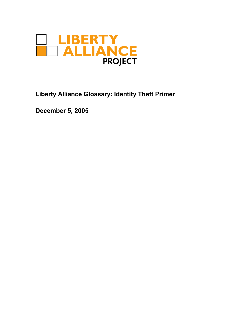

**Liberty Alliance Glossary: Identity Theft Primer**

**December 5, 2005**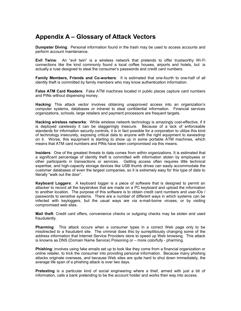## **Appendix A – Glossary of Attack Vectors**

**Dumpster Diving**: Personal information found in the trash may be used to access accounts and perform account maintenance.

**Evil Twins**: An "evil twin" is a wireless network that pretends to offer trustworthy Wi-Fi connections like the kind commonly found a local coffee houses, airports and hotels, but .is actually a ruse designed to steal the consumer's passwords and credit card numbers.

**Family Members, Friends and Co-workers**: It is estimated that one-fourth to one-half of all identity theft is committed by family members who may know authentication information.

**False ATM Card Readers**: Fake ATM machines located in public places capture card numbers and PINs without dispensing money.

**Hacking**: This attack vector involves obtaining unapproved access into an organization's computer systems, databases or intranet to steal confidential information. Financial services organizations, schools, large retailers and payment processors are frequent targets.

**Hacking wireless networks**: While wireless network technology is amazingly cost-effective, if it is deployed carelessly it can be staggeringly insecure. Because of a lack of enforceable standards for information security controls, it is in fact possible for a corporation to utilize this kind of technology insecurely, exposing critical data to anyone with the right equipment to eavesdrop on it. Worse, this equipment is starting to show up in some portable ATM machines, which means that ATM card numbers and PINs have been compromised via this means.

**Insiders**: One of the greatest threats to data comes from within organizations. It is estimated that a significant percentage of identity theft is committed with information stolen by employees or other participants in transactions or services. Getting access often requires little technical expertise, and high-capacity storage devices like USB thumb drives can easily accommodate the customer databases of even the largest companies, so it is extremely easy for this type of data to literally "walk out the door".

**Keyboard Loggers**: A keyboard logger is a piece of software that is designed to permit an attacker to record all the keystrokes that are made on a PC keyboard and upload the information to another location. The purpose of this software is to obtain credit card numbers and user-IDs / passwords to sensitive systems. There are a number of different ways in which systems can be infected with keyloggers, but the usual ways are via e-mail-borne viruses, or by visiting compromised web sites.

**Mail theft**: Credit card offers, convenience checks or outgoing checks may be stolen and used fraudulently.

**Pharming**: This attack occurs when a consumer types in a correct Web page only to be misdirected to a fraudulent site. The criminal does this by surreptitiously changing some of the address information that Internet Service Providers store to speed up Web browsing. This attack is knowns as DNS (Domain Name Service) Poisoning or – more colorfully - pharming.

**Phishing**: involves using fake emails set up to look like they come from a financial organization or online retailer, to trick the consumer into providing personal information. Because many phishing attacks originate overseas, and because Web sites are quite hard to shut down immediately, the average life span of a phishing attack is over two days.

**Pretexting** is a particular kind of social engineering where a thief, armed with just a bit of information, calls a bank pretending to be the account holder and works their way into access.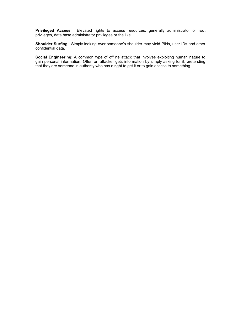**Privileged Access**: Elevated rights to access resources; generally administrator or root privileges, data base administrator privileges or the like.

**Shoulder Surfing**: Simply looking over someone's shoulder may yield PINs, user IDs and other confidential data.

**Social Engineering**: A common type of offline attack that involves exploiting human nature to gain personal information. Often an attacker gets information by simply asking for it, pretending that they are someone in authority who has a right to get it or to gain access to something.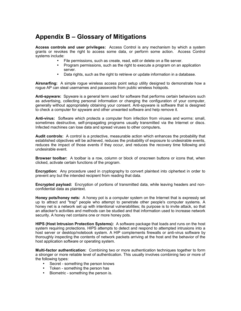## **Appendix B – Glossary of Mitigations**

**Access controls and user privileges:** Access Control is any mechanism by which a system grants or revokes the right to access some data, or perform some action. Access Control systems include:

- File permissions, such as create, read, edit or delete on a file server.
- Program permissions, such as the right to execute a program on an application server.
- Data rights, such as the right to retrieve or update information in a database.

**Airsnarfing:** A simple rogue wireless access point setup utility designed to demonstrate how a rogue AP can steal usernames and passwords from public wireless hotspots.

**Anti-spyware:** Spyware is a general term used for software that performs certain behaviors such as advertising, collecting personal information or changing the configuration of your computer, generally without appropriately obtaining your consent. Anti-spyware is software that is designed to check a computer for spyware and other unwanted software and help remove it.

**Anti-virus:** Software which protects a computer from infection from viruses and worms: small, sometimes destructive, self-propagating programs usually transmitted via the Internet or discs. Infected machines can lose data and spread viruses to other computers**.**

**Audit controls:** A control is a protective, measurable action which enhances the probability that established objectives will be achieved, reduces the probability of exposure to undesirable events, reduces the impact of those events if they occur, and reduces the recovery time following and undesirable event.

**Browser toolbar:** A toolbar is a row, column or block of onscreen buttons or icons that, when clicked, activate certain functions of the program.

**Encryption:** Any procedure used in cryptography to convert plaintext into ciphertext in order to prevent any but the intended recipient from reading that data.

**Encrypted payload:** Encryption of portions of transmitted data, while leaving headers and nonconfidential data as plaintext.

**Honey pots/honey nets:** A honey pot is a computer system on the Internet that is expressly set up to attract and "trap" people who attempt to penetrate other people's computer systems. A honey net is a network set up with intentional vulnerabilities; its purpose is to invite attack, so that an attacker's activities and methods can be studied and that information used to increase network security. A honey net contains one or more honey pots.

**HIPS (Host Intrusion Protection Systems):** A software package that loads and runs on the host system requiring protections. HIPS attempts to detect and respond to attempted intrusions into a host server or desktop/notebook system. A HIP complements firewalls or anti-virus software by thoroughly inspecting the contents of network packets arriving at the host and the behavior of the host application software or operating system.

**Multi-factor authentication:** Combining two or more authentication techniques together to form a stronger or more reliable level of authentication. This usually involves combining two or more of the following types:

- Secret something the person knows
- Token something the person has
- Biometric something the person is.